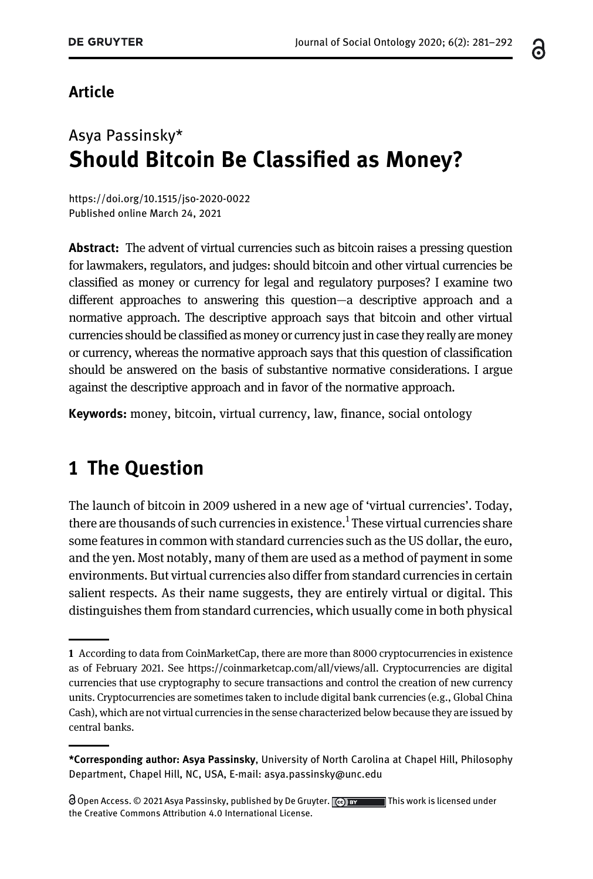#### ്റ

#### Article

# Asya Passinsky\* Should Bitcoin Be Classified as Money?

<https://doi.org/10.1515/jso-2020-0022> [Published online March 24, 2021](https://doi.org/10.1515/jso-2020-0022)

Abstract: The advent of virtual currencies such as bitcoin raises a pressing question for lawmakers, regulators, and judges: should bitcoin and other virtual currencies be classified as money or currency for legal and regulatory purposes? I examine two different approaches to answering this question—a descriptive approach and a normative approach. The descriptive approach says that bitcoin and other virtual currencies should be classified as money or currency just in case they really are money or currency, whereas the normative approach says that this question of classification should be answered on the basis of substantive normative considerations. I argue against the descriptive approach and in favor of the normative approach.

Keywords: money, bitcoin, virtual currency, law, finance, social ontology

## 1 The Question

The launch of bitcoin in 2009 ushered in a new age of 'virtual currencies'. Today, there are thousands of such currencies in existence. $^{\rm 1}$  These virtual currencies share some features in common with standard currencies such as the US dollar, the euro, and the yen. Most notably, many of them are used as a method of payment in some environments. But virtual currencies also differ from standard currencies in certain salient respects. As their name suggests, they are entirely virtual or digital. This distinguishes them from standard currencies, which usually come in both physical

<sup>1</sup> According to data from CoinMarketCap, there are more than 8000 cryptocurrencies in existence as of February 2021. See [https://coinmarketcap.com/all/views/all.](https://coinmarketcap.com/all/views/all) Cryptocurrencies are digital currencies that use cryptography to secure transactions and control the creation of new currency units. Cryptocurrencies are sometimes taken to include digital bank currencies (e.g., Global China Cash), which are not virtual currencies in the sense characterized below because they are issued by central banks.

<sup>\*</sup>Corresponding author: Asya Passinsky, University of North Carolina at Chapel Hill, Philosophy Department, Chapel Hill, NC, USA, E-mail: [asya.passinsky@unc.edu](mailto:asya.passinsky@unc.edu)

 $\Theta$  Open Access. © 2021 Asya Passinsky, published by De Gruyter.  $\Box$   $\Box$   $\Box$  This work is licensed under the Creative Commons Attribution 4.0 International License.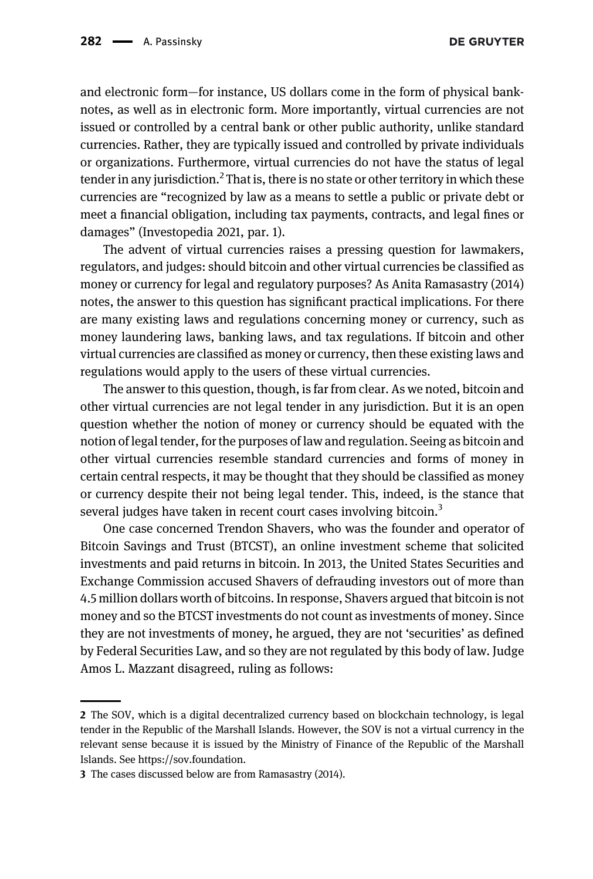and electronic form—for instance, US dollars come in the form of physical banknotes, as well as in electronic form. More importantly, virtual currencies are not issued or controlled by a central bank or other public authority, unlike standard currencies. Rather, they are typically issued and controlled by private individuals or organizations. Furthermore, virtual currencies do not have the status of legal tender in any jurisdiction.<sup>2</sup> That is, there is no state or other territory in which these currencies are "recognized by law as a means to settle a public or private debt or meet a financial obligation, including tax payments, contracts, and legal fines or damages" ([Investopedia 2021](#page-10-0), par. 1).

The advent of virtual currencies raises a pressing question for lawmakers, regulators, and judges: should bitcoin and other virtual currencies be classified as money or currency for legal and regulatory purposes? As Anita [Ramasastry \(2014\)](#page-10-1) notes, the answer to this question has significant practical implications. For there are many existing laws and regulations concerning money or currency, such as money laundering laws, banking laws, and tax regulations. If bitcoin and other virtual currencies are classified as money or currency, then these existing laws and regulations would apply to the users of these virtual currencies.

The answer to this question, though, is far from clear. As we noted, bitcoin and other virtual currencies are not legal tender in any jurisdiction. But it is an open question whether the notion of money or currency should be equated with the notion of legal tender, for the purposes of law and regulation. Seeing as bitcoin and other virtual currencies resemble standard currencies and forms of money in certain central respects, it may be thought that they should be classified as money or currency despite their not being legal tender. This, indeed, is the stance that several judges have taken in recent court cases involving bitcoin.<sup>3</sup>

One case concerned Trendon Shavers, who was the founder and operator of Bitcoin Savings and Trust (BTCST), an online investment scheme that solicited investments and paid returns in bitcoin. In 2013, the United States Securities and Exchange Commission accused Shavers of defrauding investors out of more than 4.5 million dollars worth of bitcoins. In response, Shavers argued that bitcoin is not money and so the BTCST investments do not count as investments of money. Since they are not investments of money, he argued, they are not 'securities' as defined by Federal Securities Law, and so they are not regulated by this body of law. Judge Amos L. Mazzant disagreed, ruling as follows:

<sup>2</sup> The SOV, which is a digital decentralized currency based on blockchain technology, is legal tender in the Republic of the Marshall Islands. However, the SOV is not a virtual currency in the relevant sense because it is issued by the Ministry of Finance of the Republic of the Marshall Islands. See [https://sov.foundation](https://sov.foundation/).

<sup>3</sup> The cases discussed below are from [Ramasastry \(2014\).](#page-10-1)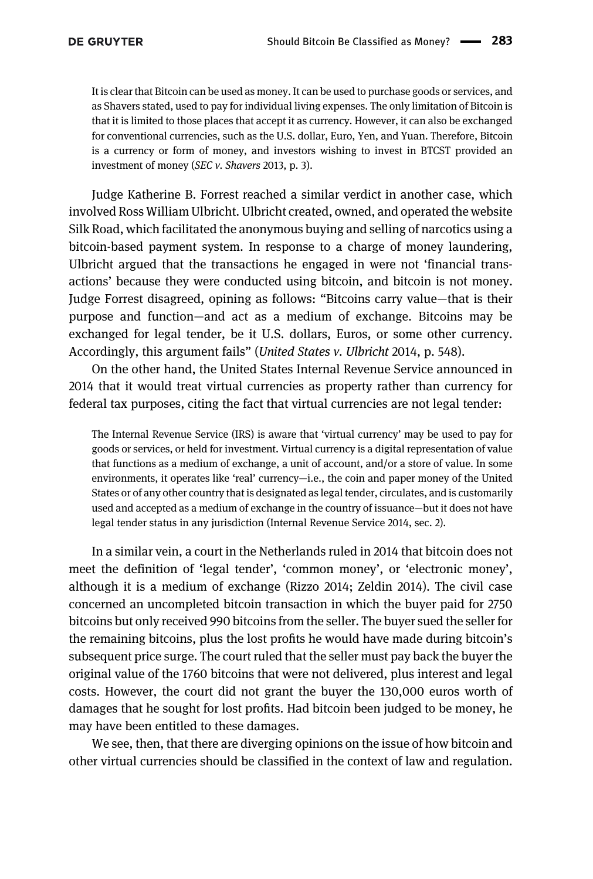It is clear that Bitcoin can be used as money. It can be used to purchase goods or services, and as Shavers stated, used to pay for individual living expenses. The only limitation of Bitcoin is that it is limited to those places that accept it as currency. However, it can also be exchanged for conventional currencies, such as the U.S. dollar, Euro, Yen, and Yuan. Therefore, Bitcoin is a currency or form of money, and investors wishing to invest in BTCST provided an investment of money ([SEC v. Shavers](#page-10-2) 2013, p. 3).

Judge Katherine B. Forrest reached a similar verdict in another case, which involved Ross William Ulbricht. Ulbricht created, owned, and operated the website Silk Road, which facilitated the anonymous buying and selling of narcotics using a bitcoin-based payment system. In response to a charge of money laundering, Ulbricht argued that the transactions he engaged in were not 'financial transactions' because they were conducted using bitcoin, and bitcoin is not money. Judge Forrest disagreed, opining as follows: "Bitcoins carry value—that is their purpose and function—and act as a medium of exchange. Bitcoins may be exchanged for legal tender, be it U.S. dollars, Euros, or some other currency. Accordingly, this argument fails" ([United States v. Ulbricht](#page-11-0) 2014, p. 548).

On the other hand, the United States Internal Revenue Service announced in 2014 that it would treat virtual currencies as property rather than currency for federal tax purposes, citing the fact that virtual currencies are not legal tender:

The Internal Revenue Service (IRS) is aware that 'virtual currency' may be used to pay for goods or services, or held for investment. Virtual currency is a digital representation of value that functions as a medium of exchange, a unit of account, and/or a store of value. In some environments, it operates like 'real' currency—i.e., the coin and paper money of the United States or of any other country that is designated as legal tender, circulates, and is customarily used and accepted as a medium of exchange in the country of issuance—but it does not have legal tender status in any jurisdiction [\(Internal Revenue Service 2014,](#page-10-3) sec. 2).

In a similar vein, a court in the Netherlands ruled in 2014 that bitcoin does not meet the definition of 'legal tender', 'common money', or 'electronic money', although it is a medium of exchange ([Rizzo 2014; Zeldin 2014\)](#page-10-4). The civil case concerned an uncompleted bitcoin transaction in which the buyer paid for 2750 bitcoins but only received 990 bitcoins from the seller. The buyer sued the seller for the remaining bitcoins, plus the lost profits he would have made during bitcoin's subsequent price surge. The court ruled that the seller must pay back the buyer the original value of the 1760 bitcoins that were not delivered, plus interest and legal costs. However, the court did not grant the buyer the 130,000 euros worth of damages that he sought for lost profits. Had bitcoin been judged to be money, he may have been entitled to these damages.

We see, then, that there are diverging opinions on the issue of how bitcoin and other virtual currencies should be classified in the context of law and regulation.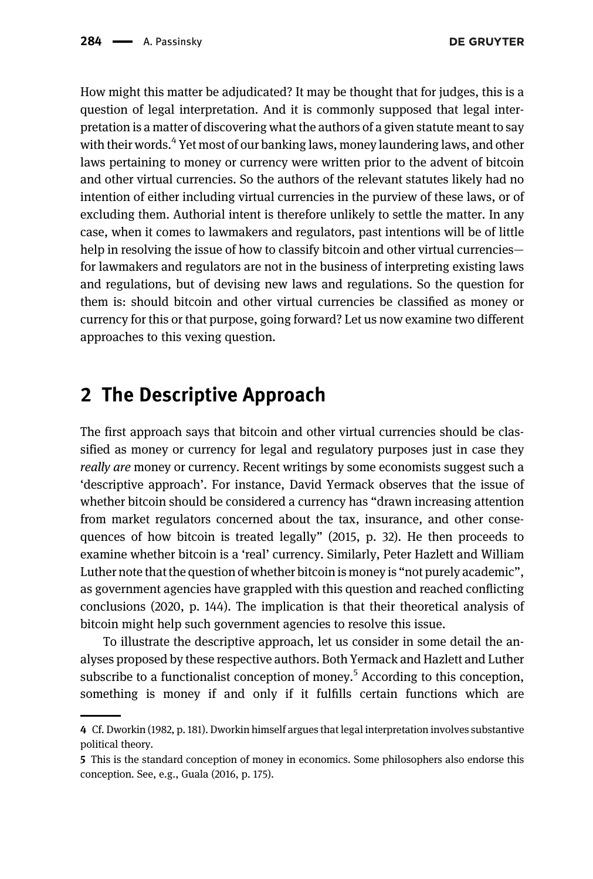How might this matter be adjudicated? It may be thought that for judges, this is a question of legal interpretation. And it is commonly supposed that legal interpretation is a matter of discovering what the authors of a given statute meant to say with their words.<sup>4</sup> Yet most of our banking laws, money laundering laws, and other laws pertaining to money or currency were written prior to the advent of bitcoin and other virtual currencies. So the authors of the relevant statutes likely had no intention of either including virtual currencies in the purview of these laws, or of excluding them. Authorial intent is therefore unlikely to settle the matter. In any case, when it comes to lawmakers and regulators, past intentions will be of little help in resolving the issue of how to classify bitcoin and other virtual currenciesfor lawmakers and regulators are not in the business of interpreting existing laws and regulations, but of devising new laws and regulations. So the question for them is: should bitcoin and other virtual currencies be classified as money or currency for this or that purpose, going forward? Let us now examine two different approaches to this vexing question.

#### 2 The Descriptive Approach

The first approach says that bitcoin and other virtual currencies should be classified as money or currency for legal and regulatory purposes just in case they really are money or currency. Recent writings by some economists suggest such a 'descriptive approach'. For instance, David Yermack observes that the issue of whether bitcoin should be considered a currency has "drawn increasing attention from market regulators concerned about the tax, insurance, and other consequences of how bitcoin is treated legally" [\(2015](#page-11-1), p. 32). He then proceeds to examine whether bitcoin is a 'real' currency. Similarly, Peter Hazlett and William Luther note that the question of whether bitcoin is money is "not purely academic", as government agencies have grappled with this question and reached conflicting conclusions ([2020,](#page-10-5) p. 144). The implication is that their theoretical analysis of bitcoin might help such government agencies to resolve this issue.

To illustrate the descriptive approach, let us consider in some detail the analyses proposed by these respective authors. Both Yermack and Hazlett and Luther subscribe to a functionalist conception of money.<sup>5</sup> According to this conception, something is money if and only if it fulfills certain functions which are

<sup>4</sup> Cf. [Dworkin \(1982](#page-10-6), p. 181). Dworkin himself argues that legal interpretation involves substantive political theory.

<sup>5</sup> This is the standard conception of money in economics. Some philosophers also endorse this conception. See, e.g., [Guala \(2016,](#page-10-7) p. 175).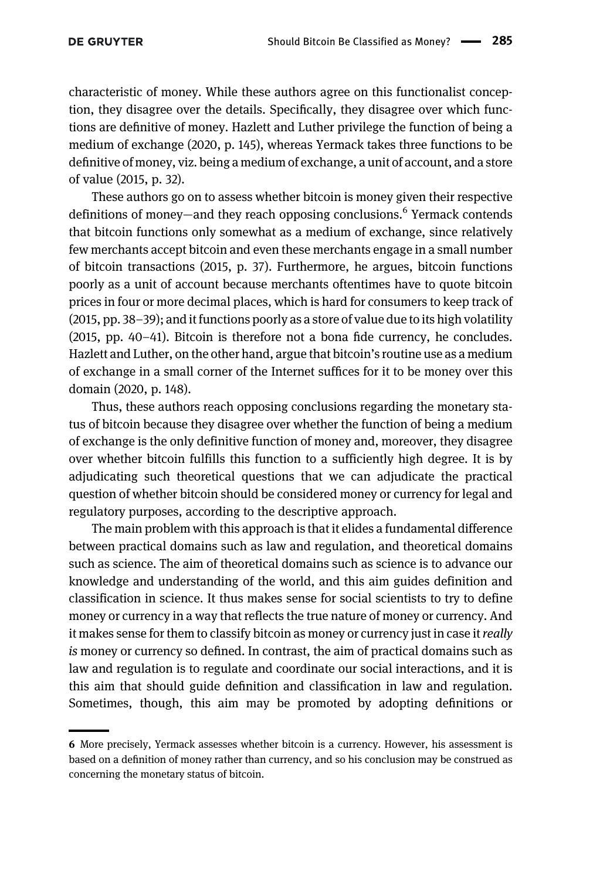characteristic of money. While these authors agree on this functionalist conception, they disagree over the details. Specifically, they disagree over which functions are definitive of money. Hazlett and Luther privilege the function of being a medium of exchange ([2020,](#page-10-5) p. 145), whereas Yermack takes three functions to be definitive of money, viz. being a medium of exchange, a unit of account, and a store of value [\(2015](#page-11-1), p. 32).

These authors go on to assess whether bitcoin is money given their respective definitions of money—and they reach opposing conclusions.<sup>6</sup> Yermack contends that bitcoin functions only somewhat as a medium of exchange, since relatively few merchants accept bitcoin and even these merchants engage in a small number of bitcoin transactions [\(2015](#page-11-1), p. 37). Furthermore, he argues, bitcoin functions poorly as a unit of account because merchants oftentimes have to quote bitcoin prices in four or more decimal places, which is hard for consumers to keep track of [\(2015,](#page-11-1) pp. 38–39); and it functions poorly as a store of value due to its high volatility [\(2015,](#page-11-1) pp. 40–41). Bitcoin is therefore not a bona fide currency, he concludes. Hazlett and Luther, on the other hand, argue that bitcoin's routine use as a medium of exchange in a small corner of the Internet suffices for it to be money over this domain ([2020,](#page-10-5) p. 148).

Thus, these authors reach opposing conclusions regarding the monetary status of bitcoin because they disagree over whether the function of being a medium of exchange is the only definitive function of money and, moreover, they disagree over whether bitcoin fulfills this function to a sufficiently high degree. It is by adjudicating such theoretical questions that we can adjudicate the practical question of whether bitcoin should be considered money or currency for legal and regulatory purposes, according to the descriptive approach.

The main problem with this approach is that it elides a fundamental difference between practical domains such as law and regulation, and theoretical domains such as science. The aim of theoretical domains such as science is to advance our knowledge and understanding of the world, and this aim guides definition and classification in science. It thus makes sense for social scientists to try to define money or currency in a way that reflects the true nature of money or currency. And it makes sense for them to classify bitcoin as money or currency just in case it really is money or currency so defined. In contrast, the aim of practical domains such as law and regulation is to regulate and coordinate our social interactions, and it is this aim that should guide definition and classification in law and regulation. Sometimes, though, this aim may be promoted by adopting definitions or

<sup>6</sup> More precisely, Yermack assesses whether bitcoin is a currency. However, his assessment is based on a definition of money rather than currency, and so his conclusion may be construed as concerning the monetary status of bitcoin.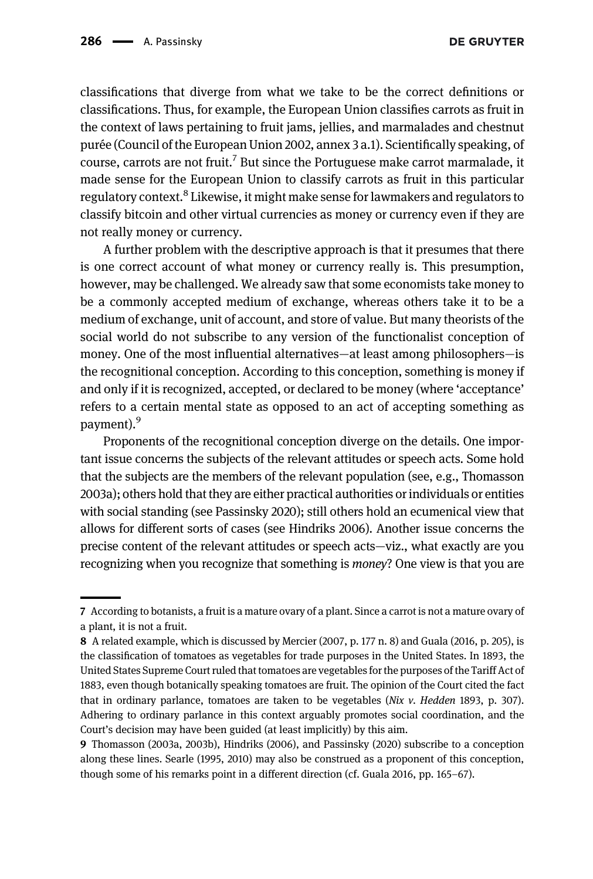classifications that diverge from what we take to be the correct definitions or classifications. Thus, for example, the European Union classifies carrots as fruit in the context of laws pertaining to fruit jams, jellies, and marmalades and chestnut purée [\(Council of the European Union 2002](#page-10-8), annex 3 a.1). Scientifically speaking, of course, carrots are not fruit.<sup>7</sup> But since the Portuguese make carrot marmalade, it made sense for the European Union to classify carrots as fruit in this particular regulatory context.<sup>8</sup> Likewise, it might make sense for lawmakers and regulators to classify bitcoin and other virtual currencies as money or currency even if they are not really money or currency.

A further problem with the descriptive approach is that it presumes that there is one correct account of what money or currency really is. This presumption, however, may be challenged. We already saw that some economists take money to be a commonly accepted medium of exchange, whereas others take it to be a medium of exchange, unit of account, and store of value. But many theorists of the social world do not subscribe to any version of the functionalist conception of money. One of the most influential alternatives—at least among philosophers—is the recognitional conception. According to this conception, something is money if and only if it is recognized, accepted, or declared to be money (where 'acceptance' refers to a certain mental state as opposed to an act of accepting something as payment).<sup>9</sup>

Proponents of the recognitional conception diverge on the details. One important issue concerns the subjects of the relevant attitudes or speech acts. Some hold that the subjects are the members of the relevant population (see, e.g., [Thomasson](#page-10-9) [2003a](#page-10-9)); others hold that they are either practical authorities or individuals or entities with social standing (see [Passinsky 2020\)](#page-10-10); still others hold an ecumenical view that allows for different sorts of cases (see [Hindriks 2006\)](#page-10-11). Another issue concerns the precise content of the relevant attitudes or speech acts—viz., what exactly are you recognizing when you recognize that something is money? One view is that you are

<sup>7</sup> According to botanists, a fruit is a mature ovary of a plant. Since a carrot is not a mature ovary of a plant, it is not a fruit.

<sup>8</sup> A related example, which is discussed by [Mercier \(2007](#page-10-12), p. 177 n. 8) and [Guala \(2016,](#page-10-7) p. 205), is the classification of tomatoes as vegetables for trade purposes in the United States. In 1893, the United States Supreme Court ruled that tomatoes are vegetables for the purposes of the Tariff Act of 1883, even though botanically speaking tomatoes are fruit. The opinion of the Court cited the fact that in ordinary parlance, tomatoes are taken to be vegetables ( $Nix$  v. Hedden 1893, p. 307). Adhering to ordinary parlance in this context arguably promotes social coordination, and the Court's decision may have been guided (at least implicitly) by this aim.

<sup>9</sup> [Thomasson \(2003a, 2003b\), Hindriks \(2006\), and Passinsky \(2020\)](#page-10-9) subscribe to a conception along these lines. [Searle \(1995, 2010\)](#page-10-14) may also be construed as a proponent of this conception, though some of his remarks point in a different direction (cf. [Guala 2016](#page-10-7), pp. 165–67).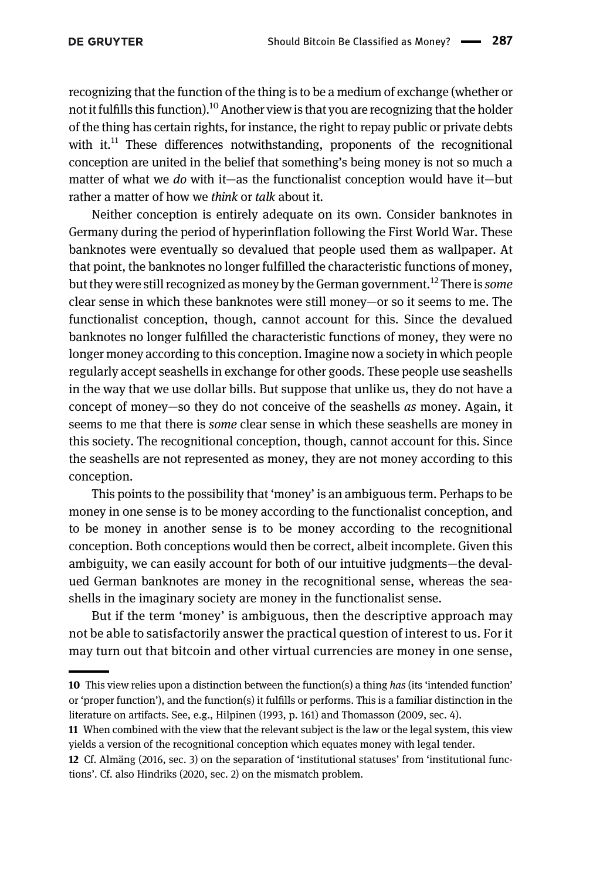recognizing that the function of the thing is to be a medium of exchange (whether or not it fulfills this function).<sup>10</sup> Another view is that you are recognizing that the holder of the thing has certain rights, for instance, the right to repay public or private debts with it. $11$  These differences notwithstanding, proponents of the recognitional conception are united in the belief that something's being money is not so much a matter of what we do with it—as the functionalist conception would have it—but rather a matter of how we *think* or *talk* about it.

Neither conception is entirely adequate on its own. Consider banknotes in Germany during the period of hyperinflation following the First World War. These banknotes were eventually so devalued that people used them as wallpaper. At that point, the banknotes no longer fulfilled the characteristic functions of money, but they were still recognized as money by the German government.<sup>12</sup> There is *some* clear sense in which these banknotes were still money—or so it seems to me. The functionalist conception, though, cannot account for this. Since the devalued banknotes no longer fulfilled the characteristic functions of money, they were no longer money according to this conception. Imagine now a society in which people regularly accept seashells in exchange for other goods. These people use seashells in the way that we use dollar bills. But suppose that unlike us, they do not have a concept of money—so they do not conceive of the seashells as money. Again, it seems to me that there is some clear sense in which these seashells are money in this society. The recognitional conception, though, cannot account for this. Since the seashells are not represented as money, they are not money according to this conception.

This points to the possibility that 'money' is an ambiguous term. Perhaps to be money in one sense is to be money according to the functionalist conception, and to be money in another sense is to be money according to the recognitional conception. Both conceptions would then be correct, albeit incomplete. Given this ambiguity, we can easily account for both of our intuitive judgments—the devalued German banknotes are money in the recognitional sense, whereas the seashells in the imaginary society are money in the functionalist sense.

But if the term 'money' is ambiguous, then the descriptive approach may not be able to satisfactorily answer the practical question of interest to us. For it may turn out that bitcoin and other virtual currencies are money in one sense,

<sup>10</sup> This view relies upon a distinction between the function(s) a thing has (its 'intended function' or 'proper function'), and the function(s) it fulfills or performs. This is a familiar distinction in the literature on artifacts. See, e.g., [Hilpinen \(1993,](#page-10-15) p. 161) and [Thomasson \(2009,](#page-10-16) sec. 4).

<sup>11</sup> When combined with the view that the relevant subject is the law or the legal system, this view yields a version of the recognitional conception which equates money with legal tender.

<sup>12</sup> Cf. [Almäng \(2016,](#page-10-17) sec. 3) on the separation of 'institutional statuses' from 'institutional functions'. Cf. also [Hindriks \(2020,](#page-10-18) sec. 2) on the mismatch problem.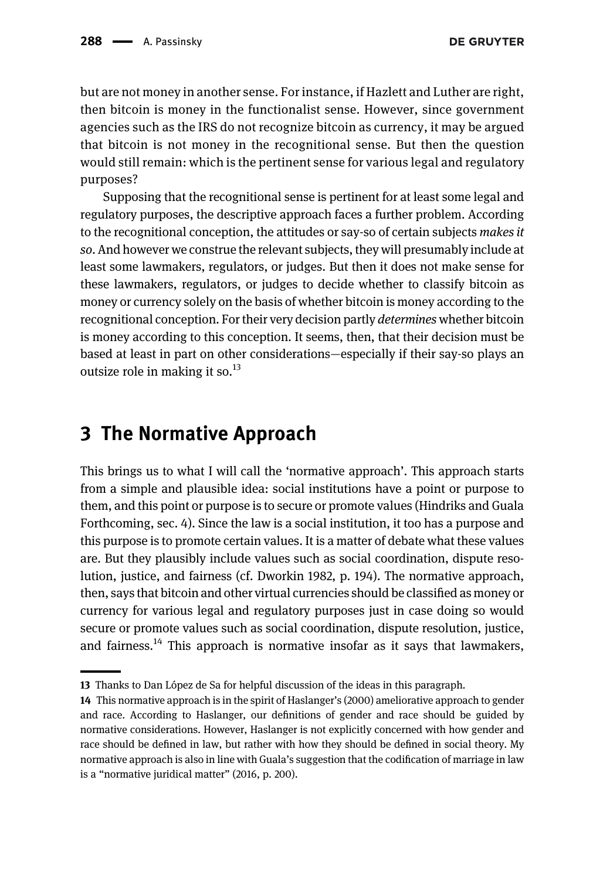but are not money in another sense. For instance, if Hazlett and Luther are right, then bitcoin is money in the functionalist sense. However, since government agencies such as the IRS do not recognize bitcoin as currency, it may be argued that bitcoin is not money in the recognitional sense. But then the question would still remain: which is the pertinent sense for various legal and regulatory purposes?

Supposing that the recognitional sense is pertinent for at least some legal and regulatory purposes, the descriptive approach faces a further problem. According to the recognitional conception, the attitudes or say-so of certain subjects makes it so. And however we construe the relevant subjects, they will presumably include at least some lawmakers, regulators, or judges. But then it does not make sense for these lawmakers, regulators, or judges to decide whether to classify bitcoin as money or currency solely on the basis of whether bitcoin is money according to the recognitional conception. For their very decision partly determines whether bitcoin is money according to this conception. It seems, then, that their decision must be based at least in part on other considerations—especially if their say-so plays an outsize role in making it so. $^{13}$ 

### 3 The Normative Approach

This brings us to what I will call the 'normative approach'. This approach starts from a simple and plausible idea: social institutions have a point or purpose to them, and this point or purpose is to secure or promote values [\(Hindriks and Guala](#page-10-19) [Forthcoming,](#page-10-19) sec. 4). Since the law is a social institution, it too has a purpose and this purpose is to promote certain values. It is a matter of debate what these values are. But they plausibly include values such as social coordination, dispute resolution, justice, and fairness (cf. [Dworkin 1982](#page-10-6), p. 194). The normative approach, then, says that bitcoin and other virtual currencies should be classified as money or currency for various legal and regulatory purposes just in case doing so would secure or promote values such as social coordination, dispute resolution, justice, and fairness.<sup>14</sup> This approach is normative insofar as it says that lawmakers,

<sup>13</sup> Thanks to Dan López de Sa for helpful discussion of the ideas in this paragraph.

<sup>14</sup> This normative approach is in the spirit of [Haslanger](#page-10-20)'s (2000) ameliorative approach to gender and race. According to Haslanger, our definitions of gender and race should be guided by normative considerations. However, Haslanger is not explicitly concerned with how gender and race should be defined in law, but rather with how they should be defined in social theory. My normative approach is also in line with Guala's suggestion that the codification of marriage in law is a "normative juridical matter" ([2016](#page-10-7), p. 200).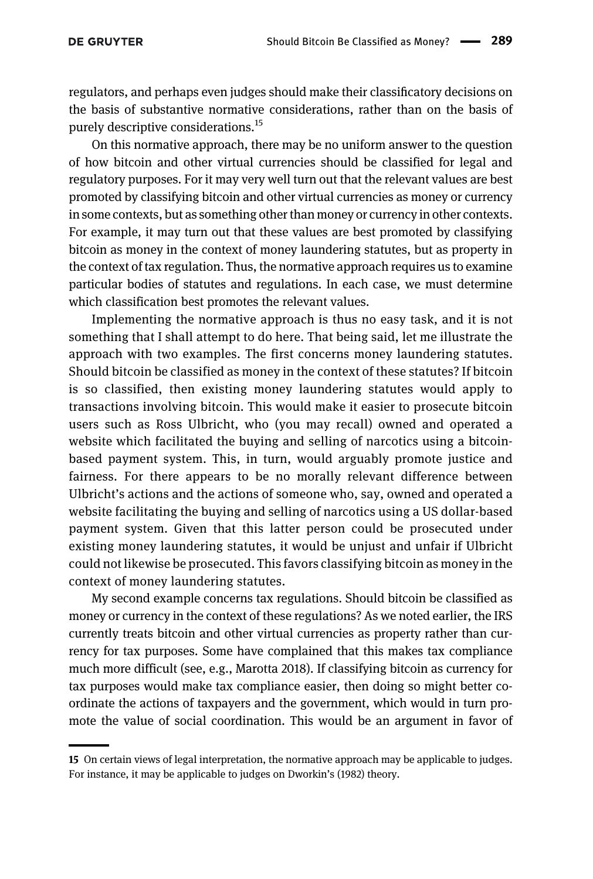regulators, and perhaps even judges should make their classificatory decisions on the basis of substantive normative considerations, rather than on the basis of purely descriptive considerations.<sup>15</sup>

On this normative approach, there may be no uniform answer to the question of how bitcoin and other virtual currencies should be classified for legal and regulatory purposes. For it may very well turn out that the relevant values are best promoted by classifying bitcoin and other virtual currencies as money or currency in some contexts, but as something other than money or currency in other contexts. For example, it may turn out that these values are best promoted by classifying bitcoin as money in the context of money laundering statutes, but as property in the context of tax regulation. Thus, the normative approach requires us to examine particular bodies of statutes and regulations. In each case, we must determine which classification best promotes the relevant values.

Implementing the normative approach is thus no easy task, and it is not something that I shall attempt to do here. That being said, let me illustrate the approach with two examples. The first concerns money laundering statutes. Should bitcoin be classified as money in the context of these statutes? If bitcoin is so classified, then existing money laundering statutes would apply to transactions involving bitcoin. This would make it easier to prosecute bitcoin users such as Ross Ulbricht, who (you may recall) owned and operated a website which facilitated the buying and selling of narcotics using a bitcoinbased payment system. This, in turn, would arguably promote justice and fairness. For there appears to be no morally relevant difference between Ulbricht's actions and the actions of someone who, say, owned and operated a website facilitating the buying and selling of narcotics using a US dollar-based payment system. Given that this latter person could be prosecuted under existing money laundering statutes, it would be unjust and unfair if Ulbricht could not likewise be prosecuted. This favors classifying bitcoin as money in the context of money laundering statutes.

My second example concerns tax regulations. Should bitcoin be classified as money or currency in the context of these regulations? As we noted earlier, the IRS currently treats bitcoin and other virtual currencies as property rather than currency for tax purposes. Some have complained that this makes tax compliance much more difficult (see, e.g., [Marotta 2018\)](#page-10-21). If classifying bitcoin as currency for tax purposes would make tax compliance easier, then doing so might better coordinate the actions of taxpayers and the government, which would in turn promote the value of social coordination. This would be an argument in favor of

<sup>15</sup> On certain views of legal interpretation, the normative approach may be applicable to judges. For instance, it may be applicable to judges on [Dworkin](#page-10-6)'s (1982) theory.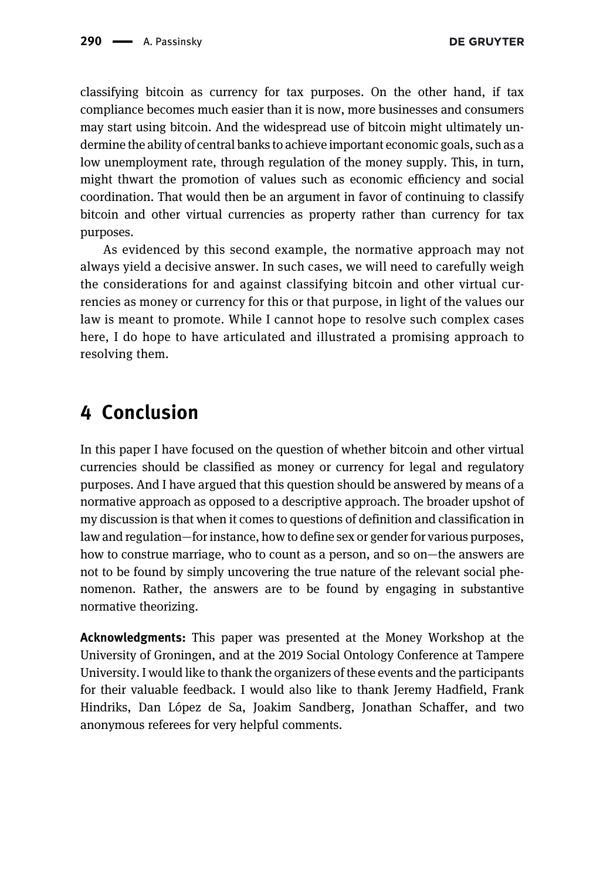classifying bitcoin as currency for tax purposes. On the other hand, if tax compliance becomes much easier than it is now, more businesses and consumers may start using bitcoin. And the widespread use of bitcoin might ultimately undermine the ability of central banks to achieve important economic goals, such as a low unemployment rate, through regulation of the money supply. This, in turn, might thwart the promotion of values such as economic efficiency and social coordination. That would then be an argument in favor of continuing to classify bitcoin and other virtual currencies as property rather than currency for tax purposes.

As evidenced by this second example, the normative approach may not always yield a decisive answer. In such cases, we will need to carefully weigh the considerations for and against classifying bitcoin and other virtual currencies as money or currency for this or that purpose, in light of the values our law is meant to promote. While I cannot hope to resolve such complex cases here, I do hope to have articulated and illustrated a promising approach to resolving them.

#### 4 Conclusion

In this paper I have focused on the question of whether bitcoin and other virtual currencies should be classified as money or currency for legal and regulatory purposes. And I have argued that this question should be answered by means of a normative approach as opposed to a descriptive approach. The broader upshot of my discussion is that when it comes to questions of definition and classification in law and regulation—for instance, how to define sex or gender for various purposes, how to construe marriage, who to count as a person, and so on—the answers are not to be found by simply uncovering the true nature of the relevant social phenomenon. Rather, the answers are to be found by engaging in substantive normative theorizing.

Acknowledgments: This paper was presented at the Money Workshop at the University of Groningen, and at the 2019 Social Ontology Conference at Tampere University. I would like to thank the organizers of these events and the participants for their valuable feedback. I would also like to thank Jeremy Hadfield, Frank Hindriks, Dan López de Sa, Joakim Sandberg, Jonathan Schaffer, and two anonymous referees for very helpful comments.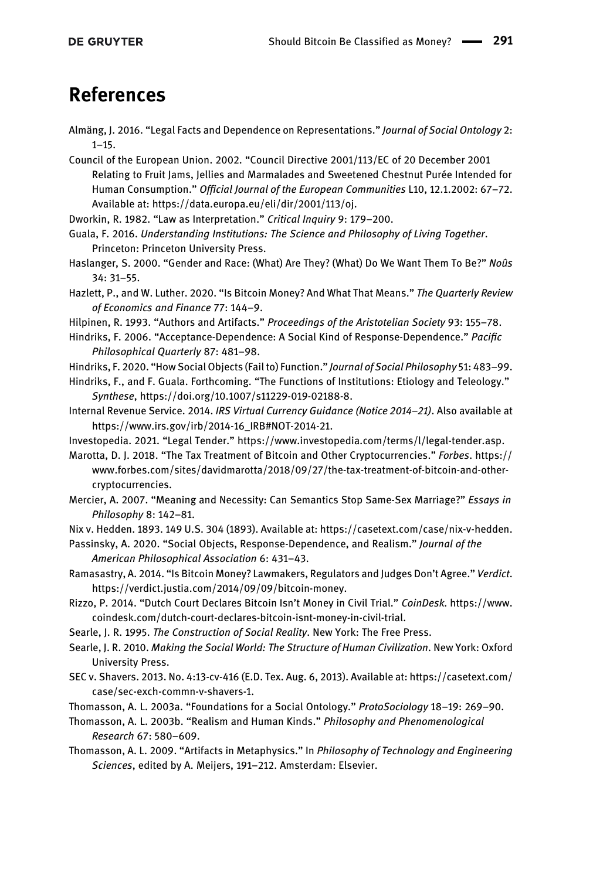### References

- <span id="page-10-17"></span>Almäng, J. 2016. "Legal Facts and Dependence on Representations." Journal of Social Ontology 2:  $1 - 15.$
- <span id="page-10-8"></span>Council of the European Union. 2002. "Council Directive 2001/113/EC of 20 December 2001 Relating to Fruit Jams, Jellies and Marmalades and Sweetened Chestnut Purée Intended for Human Consumption." Official Journal of the European Communities L10, 12.1.2002: 67–72. Available at:<https://data.europa.eu/eli/dir/2001/113/oj>.
- <span id="page-10-6"></span>Dworkin, R. 1982. "Law as Interpretation." Critical Inquiry 9: 179–200.
- <span id="page-10-7"></span>Guala, F. 2016. Understanding Institutions: The Science and Philosophy of Living Together. Princeton: Princeton University Press.
- <span id="page-10-20"></span>Haslanger, S. 2000. "Gender and Race: (What) Are They? (What) Do We Want Them To Be?" Noûs 34: 31–55.

<span id="page-10-5"></span>Hazlett, P., and W. Luther. 2020. "Is Bitcoin Money? And What That Means." The Quarterly Review of Economics and Finance 77: 144–9.

<span id="page-10-15"></span>Hilpinen, R. 1993. "Authors and Artifacts." Proceedings of the Aristotelian Society 93: 155–78.

- <span id="page-10-11"></span>Hindriks, F. 2006. "Acceptance-Dependence: A Social Kind of Response-Dependence." Pacific Philosophical Quarterly 87: 481–98.
- <span id="page-10-18"></span>Hindriks, F. 2020. "How Social Objects (Fail to) Function." Journal of Social Philosophy 51: 483–99.

<span id="page-10-19"></span>Hindriks, F., and F. Guala. Forthcoming. "The Functions of Institutions: Etiology and Teleology." Synthese,<https://doi.org/10.1007/s11229-019-02188-8>.

- <span id="page-10-3"></span>Internal Revenue Service. 2014. IRS Virtual Currency Guidance (Notice 2014–21). Also available at [https://www.irs.gov/irb/2014-16\\_IRB#NOT-2014-21](https://www.irs.gov/irb/2014-16_IRB#NOT-2014-21).
- <span id="page-10-0"></span>Investopedia. 2021. "Legal Tender." [https://www.investopedia.com/terms/l/legal-tender.asp.](https://www.investopedia.com/terms/l/legal-tender.asp)
- <span id="page-10-21"></span>Marotta, D. J. 2018. "The Tax Treatment of Bitcoin and Other Cryptocurrencies." Forbes. [https://](https://www.forbes.com/sites/davidmarotta/2018/09/27/the-tax-treatment-of-bitcoin-and-other-cryptocurrencies) [www.forbes.com/sites/davidmarotta/2018/09/27/the-tax-treatment-of-bitcoin-and-other](https://www.forbes.com/sites/davidmarotta/2018/09/27/the-tax-treatment-of-bitcoin-and-other-cryptocurrencies)[cryptocurrencies](https://www.forbes.com/sites/davidmarotta/2018/09/27/the-tax-treatment-of-bitcoin-and-other-cryptocurrencies).
- <span id="page-10-12"></span>Mercier, A. 2007. "Meaning and Necessity: Can Semantics Stop Same-Sex Marriage?" Essays in Philosophy 8: 142–81.

<span id="page-10-13"></span>Nix v. Hedden. 1893. 149 U.S. 304 (1893). Available at: [https://casetext.com/case/nix-v-hedden.](https://casetext.com/case/nix-v-hedden)

- <span id="page-10-10"></span>Passinsky, A. 2020. "Social Objects, Response-Dependence, and Realism." Journal of the American Philosophical Association 6: 431–43.
- <span id="page-10-1"></span>Ramasastry, A. 2014. "Is Bitcoin Money? Lawmakers, Regulators and Judges Don't Agree." Verdict. [https://verdict.justia.com/2014/09/09/bitcoin-money.](https://verdict.justia.com/2014/09/09/bitcoin-money)
- <span id="page-10-4"></span>Rizzo, P. 2014. "Dutch Court Declares Bitcoin Isn't Money in Civil Trial." CoinDesk. [https://www.](https://www.coindesk.com/dutch-court-declares-bitcoin-isnt-money-in-civil-trial) [coindesk.com/dutch-court-declares-bitcoin-isnt-money-in-civil-trial.](https://www.coindesk.com/dutch-court-declares-bitcoin-isnt-money-in-civil-trial)
- <span id="page-10-14"></span>Searle, J. R. 1995. The Construction of Social Reality. New York: The Free Press.
- Searle, J. R. 2010. Making the Social World: The Structure of Human Civilization. New York: Oxford University Press.

<span id="page-10-2"></span>SEC v. Shavers. 2013. No. 4:13-cv-416 (E.D. Tex. Aug. 6, 2013). Available at: [https://casetext.com/](https://casetext.com/case/sec-exch-commn-v-shavers-1) [case/sec-exch-commn-v-shavers-1](https://casetext.com/case/sec-exch-commn-v-shavers-1).

<span id="page-10-9"></span>Thomasson, A. L. 2003a. "Foundations for a Social Ontology." ProtoSociology 18–19: 269–90.

- Thomasson, A. L. 2003b. "Realism and Human Kinds." Philosophy and Phenomenological Research 67: 580–609.
- <span id="page-10-16"></span>Thomasson, A. L. 2009. "Artifacts in Metaphysics." In Philosophy of Technology and Engineering Sciences, edited by A. Meijers, 191–212. Amsterdam: Elsevier.